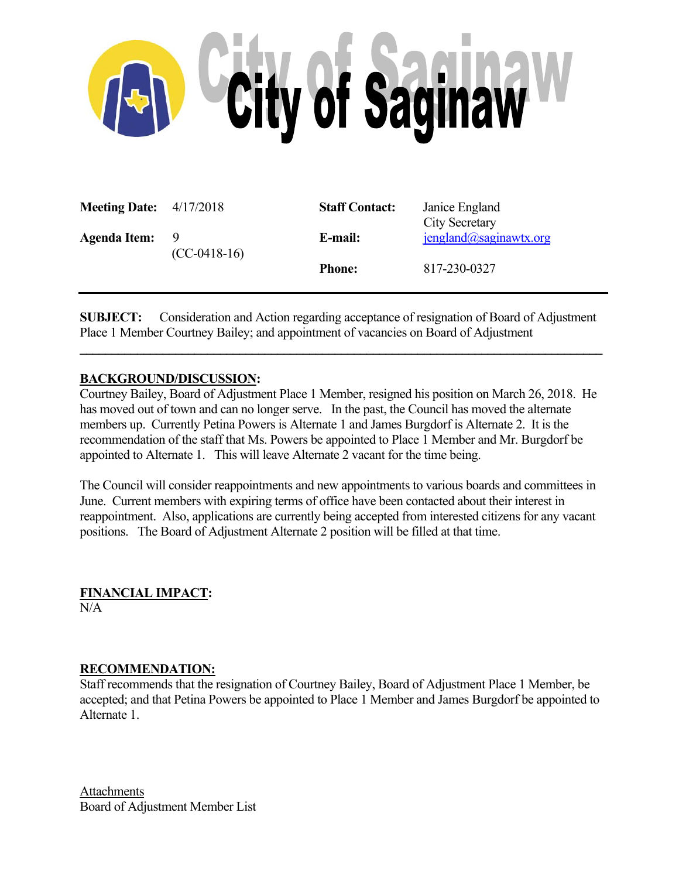

| <b>Meeting Date:</b> $4/17/2018$ |                       | <b>Staff Contact:</b> | Janice England<br><b>City Secretary</b> |
|----------------------------------|-----------------------|-----------------------|-----------------------------------------|
| <b>Agenda Item:</b>              | −9.<br>$(CC-0418-16)$ | E-mail:               | $j$ england@saginawtx.org               |
|                                  |                       | <b>Phone:</b>         | 817-230-0327                            |

**SUBJECT:** Consideration and Action regarding acceptance of resignation of Board of Adjustment Place 1 Member Courtney Bailey; and appointment of vacancies on Board of Adjustment

 $\mathcal{L} = \{ \mathcal{L} \mathcal{L} \mathcal{L} \mathcal{L} \mathcal{L} \mathcal{L} \mathcal{L} \mathcal{L} \mathcal{L} \mathcal{L} \mathcal{L} \mathcal{L} \mathcal{L} \mathcal{L} \mathcal{L} \mathcal{L} \mathcal{L} \mathcal{L} \mathcal{L} \mathcal{L} \mathcal{L} \mathcal{L} \mathcal{L} \mathcal{L} \mathcal{L} \mathcal{L} \mathcal{L} \mathcal{L} \mathcal{L} \mathcal{L} \mathcal{L} \mathcal{L} \mathcal{L} \mathcal{L} \mathcal{L} \$ 

## **BACKGROUND/DISCUSSION:**

Courtney Bailey, Board of Adjustment Place 1 Member, resigned his position on March 26, 2018. He has moved out of town and can no longer serve. In the past, the Council has moved the alternate members up. Currently Petina Powers is Alternate 1 and James Burgdorf is Alternate 2. It is the recommendation of the staff that Ms. Powers be appointed to Place 1 Member and Mr. Burgdorf be appointed to Alternate 1. This will leave Alternate 2 vacant for the time being.

The Council will consider reappointments and new appointments to various boards and committees in June. Current members with expiring terms of office have been contacted about their interest in reappointment. Also, applications are currently being accepted from interested citizens for any vacant positions. The Board of Adjustment Alternate 2 position will be filled at that time.

**FINANCIAL IMPACT:**   $N/A$ 

## **RECOMMENDATION:**

Staff recommends that the resignation of Courtney Bailey, Board of Adjustment Place 1 Member, be accepted; and that Petina Powers be appointed to Place 1 Member and James Burgdorf be appointed to Alternate 1.

Attachments Board of Adjustment Member List